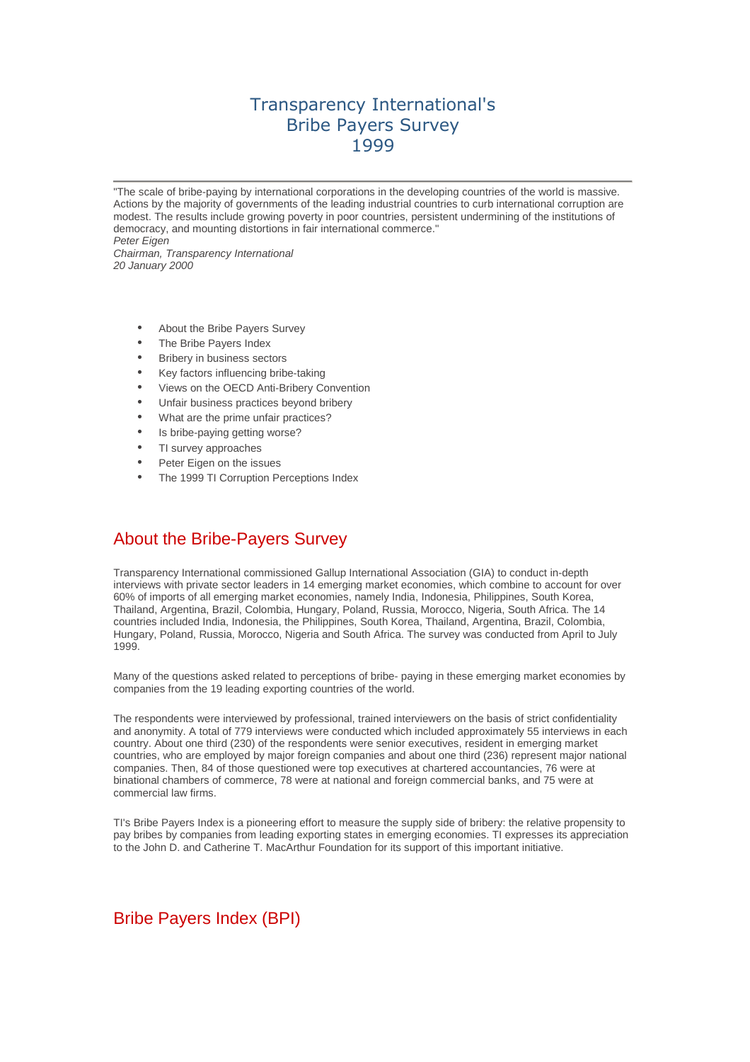# Transparency International's Bribe Payers Survey 1999

"The scale of bribe-paying by international corporations in the developing countries of the world is massive. Actions by the majority of governments of the leading industrial countries to curb international corruption are modest. The results include growing poverty in poor countries, persistent undermining of the institutions of democracy, and mounting distortions in fair international commerce." Peter Eigen Chairman, Transparency International

20 January 2000

- About the Bribe Payers Survey
- The Bribe Payers Index
- **Bribery in business sectors**
- Key factors influencing bribe-taking
- Views on the OECD Anti-Bribery Convention
- Unfair business practices beyond bribery
- What are the prime unfair practices?
- Is bribe-paying getting worse?
- TI survey approaches
- Peter Eigen on the issues
- The 1999 TI Corruption Perceptions Index

# About the Bribe-Payers Survey

Transparency International commissioned Gallup International Association (GIA) to conduct in-depth interviews with private sector leaders in 14 emerging market economies, which combine to account for over 60% of imports of all emerging market economies, namely India, Indonesia, Philippines, South Korea, Thailand, Argentina, Brazil, Colombia, Hungary, Poland, Russia, Morocco, Nigeria, South Africa. The 14 countries included India, Indonesia, the Philippines, South Korea, Thailand, Argentina, Brazil, Colombia, Hungary, Poland, Russia, Morocco, Nigeria and South Africa. The survey was conducted from April to July 1999.

Many of the questions asked related to perceptions of bribe- paying in these emerging market economies by companies from the 19 leading exporting countries of the world.

The respondents were interviewed by professional, trained interviewers on the basis of strict confidentiality and anonymity. A total of 779 interviews were conducted which included approximately 55 interviews in each country. About one third (230) of the respondents were senior executives, resident in emerging market countries, who are employed by major foreign companies and about one third (236) represent major national companies. Then, 84 of those questioned were top executives at chartered accountancies, 76 were at binational chambers of commerce, 78 were at national and foreign commercial banks, and 75 were at commercial law firms.

TI's Bribe Payers Index is a pioneering effort to measure the supply side of bribery: the relative propensity to pay bribes by companies from leading exporting states in emerging economies. TI expresses its appreciation to the John D. and Catherine T. MacArthur Foundation for its support of this important initiative.

# Bribe Payers Index (BPI)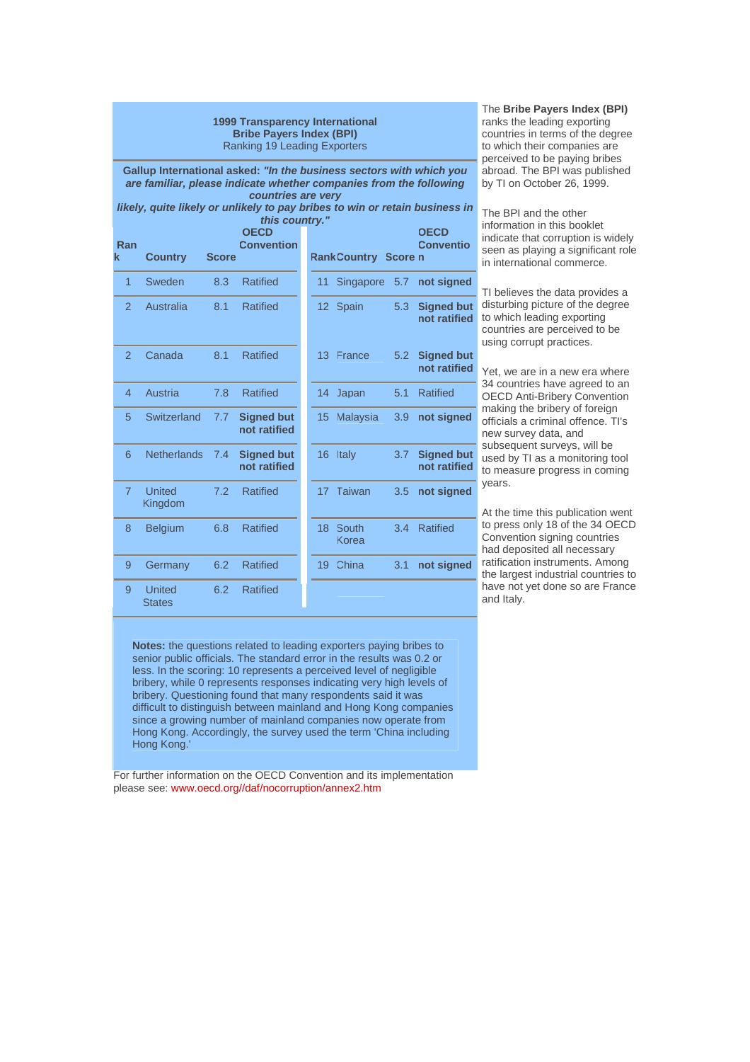#### **1999 Transparency International Bribe Payers Index (BPI)** Ranking 19 Leading Exporters

**Gallup International asked: "In the business sectors with which you are familiar, please indicate whether companies from the following countries are very** 

**likely, quite likely or unlikely to pay bribes to win or retain business in this coun** 

| Ran<br>k       | <b>Country</b>                 | <b>Score</b> | <b>OECD</b><br><b>Convention</b>  |                 | <b>RankCountry Score n</b> |     | <b>OECD</b><br><b>Conventio</b>   |
|----------------|--------------------------------|--------------|-----------------------------------|-----------------|----------------------------|-----|-----------------------------------|
| $\overline{1}$ | Sweden                         | 8.3          | <b>Ratified</b>                   | 11              | Singapore                  | 5.7 | not signed                        |
| $\overline{2}$ | Australia                      | 8.1          | <b>Ratified</b>                   |                 | 12 Spain                   | 5.3 | <b>Signed but</b><br>not ratified |
| $\mathcal{P}$  | Canada                         | 8.1          | <b>Ratified</b>                   |                 | 13 France                  | 5.2 | <b>Signed but</b><br>not ratified |
| 4              | Austria                        | 7.8          | <b>Ratified</b>                   | 14 <sup>°</sup> | Japan                      | 5.1 | <b>Ratified</b>                   |
| 5              | Switzerland                    | 7.7          | <b>Signed but</b><br>not ratified | 15              | Malaysia                   | 3.9 | not signed                        |
| 6              | <b>Netherlands</b>             | 7.4          | <b>Signed but</b><br>not ratified |                 | 16 Italy                   | 3.7 | <b>Signed but</b><br>not ratified |
| $\overline{7}$ | <b>United</b><br>Kingdom       | 7.2          | <b>Ratified</b>                   |                 | 17 Taiwan                  | 3.5 | not signed                        |
| 8              | <b>Belgium</b>                 | 6.8          | <b>Ratified</b>                   | 18              | South<br>Korea             | 3.4 | <b>Ratified</b>                   |
| 9              | Germany                        | 6.2          | <b>Ratified</b>                   | 19              | China                      | 3.1 | not signed                        |
| 9              | <b>United</b><br><b>States</b> | 6.2          | <b>Ratified</b>                   |                 |                            |     |                                   |

|                | this country."           |              |                                   |                 |                            |     |                                   |
|----------------|--------------------------|--------------|-----------------------------------|-----------------|----------------------------|-----|-----------------------------------|
| an             |                          |              | <b>OECD</b><br><b>Convention</b>  |                 |                            |     | <b>OECD</b><br><b>Conventio</b>   |
|                | <b>Country</b>           | <b>Score</b> |                                   |                 | <b>RankCountry Score n</b> |     |                                   |
| 1              | Sweden                   | 8.3          | <b>Ratified</b>                   | 11              | <b>Singapore</b>           | 5.7 | not signed                        |
| $\overline{2}$ | Australia                | 8.1          | <b>Ratified</b>                   |                 | 12 Spain                   | 5.3 | <b>Signed but</b><br>not ratified |
| $\overline{2}$ | Canada                   | 8.1          | <b>Ratified</b>                   | 13 <sup>1</sup> | France                     | 5.2 | <b>Signed but</b><br>not ratified |
| 4              | Austria                  | 7.8          | <b>Ratified</b>                   | 14              | Japan                      | 5.1 | <b>Ratified</b>                   |
| 5              | Switzerland              | 7.7          | <b>Signed but</b><br>not ratified | 15              | <b>Malaysia</b>            | 3.9 | not signed                        |
| 6              | <b>Netherlands</b>       | 7.4          | <b>Signed but</b><br>not ratified | 16 <sup>1</sup> | Italy                      | 3.7 | <b>Signed but</b><br>not ratified |
| $\overline{7}$ | <b>United</b><br>Kingdom | 7.2          | <b>Ratified</b>                   | 17 <sup>2</sup> | Taiwan                     | 3.5 | not signed                        |
| 8              | <b>Belgium</b>           | 6.8          | <b>Ratified</b>                   | 18              | South<br>Korea             | 3.4 | Ratified                          |
| 9              | Germany                  | 6.2          | <b>Ratified</b>                   | 19              | China                      | 3.1 | not signed                        |
|                |                          |              |                                   |                 |                            |     |                                   |

### The **Bribe Payers Index (BPI)**

ranks the leading exporting countries in terms of the degree to which their companies are perceived to be paying bribes abroad. The BPI was published by TI on October 26, 1999.

The BPI and the other information in this booklet indicate that corruption is widely seen as playing a significant role in international commerce.

TI believes the data provides a disturbing picture of the degree to which leading exporting countries are perceived to be using corrupt practices.

Yet, we are in a new era where 34 countries have agreed to an OECD Anti-Bribery Convention making the bribery of foreign officials a criminal offence. TI's new survey data, and subsequent surveys, will be used by TI as a monitoring tool to measure progress in coming years.

At the time this publication went to press only 18 of the 34 OECD Convention signing countries had deposited all necessary ratification instruments. Among the largest industrial countries to have not yet done so are France and Italy.

**Notes:** the questions related to leading exporters paying bribes to senior public officials. The standard error in the results was 0.2 or less. In the scoring: 10 represents a perceived level of negligible bribery, while 0 represents responses indicating very high levels of bribery. Questioning found that many respondents said it was difficult to distinguish between mainland and Hong Kong companies since a growing number of mainland companies now operate from Hong Kong. Accordingly, the survey used the term 'China including Hong Kong.'

For further information on the OECD Convention and its implementation please see: www.oecd.org//daf/nocorruption/annex2.htm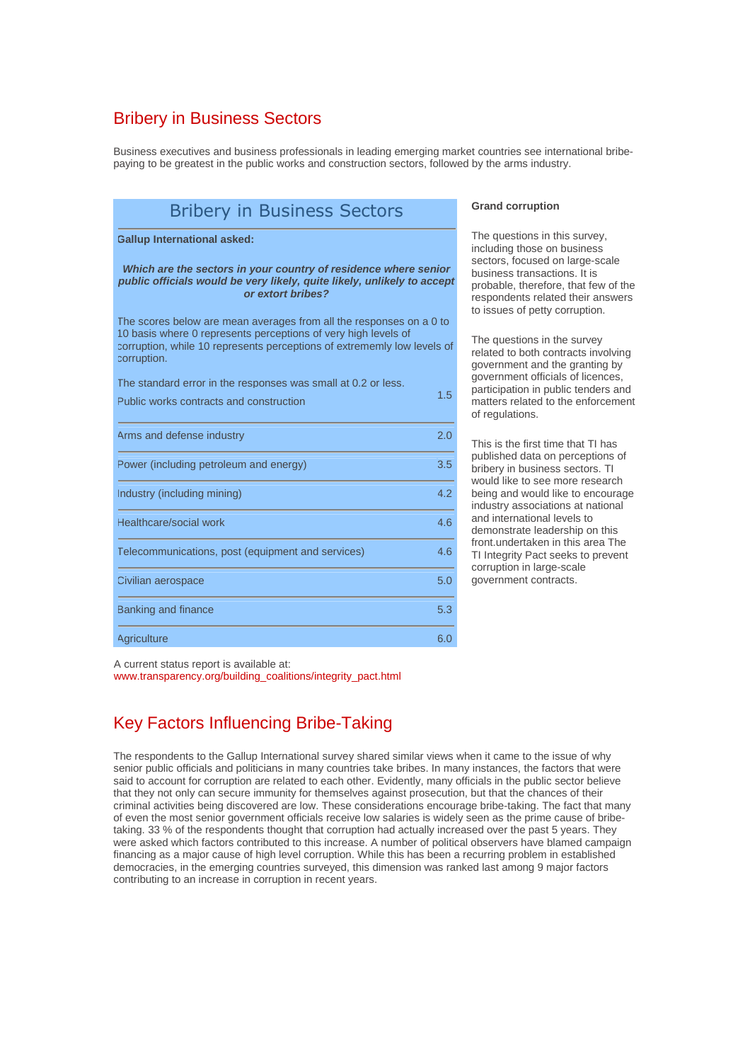## Bribery in Business Sectors

Business executives and business professionals in leading emerging market countries see international bribepaying to be greatest in the public works and construction sectors, followed by the arms industry.

| <b>Bribery in Business Sectors</b>                                                                                                                                                                                              |     |  |  |  |
|---------------------------------------------------------------------------------------------------------------------------------------------------------------------------------------------------------------------------------|-----|--|--|--|
| <b>Gallup International asked:</b>                                                                                                                                                                                              |     |  |  |  |
| Which are the sectors in your country of residence where senior<br>public officials would be very likely, quite likely, unlikely to accept<br>or extort bribes?                                                                 |     |  |  |  |
| The scores below are mean averages from all the responses on a 0 to<br>10 basis where 0 represents perceptions of very high levels of<br>corruption, while 10 represents perceptions of extrememly low levels of<br>corruption. |     |  |  |  |
| The standard error in the responses was small at 0.2 or less.                                                                                                                                                                   |     |  |  |  |
| Public works contracts and construction                                                                                                                                                                                         | 1.5 |  |  |  |
| Arms and defense industry                                                                                                                                                                                                       | 2.0 |  |  |  |
| Power (including petroleum and energy)                                                                                                                                                                                          | 3.5 |  |  |  |
| Industry (including mining)                                                                                                                                                                                                     | 4.2 |  |  |  |
| Healthcare/social work                                                                                                                                                                                                          | 4.6 |  |  |  |
| Telecommunications, post (equipment and services)                                                                                                                                                                               | 4.6 |  |  |  |
| Civilian aerospace                                                                                                                                                                                                              | 5.0 |  |  |  |
| Banking and finance                                                                                                                                                                                                             | 5.3 |  |  |  |
| <b>Agriculture</b>                                                                                                                                                                                                              | 6.0 |  |  |  |

### **Grand corruption**

The questions in this survey, including those on business sectors, focused on large-scale business transactions. It is probable, therefore, that few of the respondents related their answers to issues of petty corruption.

The questions in the survey related to both contracts involving government and the granting by government officials of licences, participation in public tenders and matters related to the enforcement of regulations.

This is the first time that TI has published data on perceptions of bribery in business sectors. TI would like to see more research being and would like to encourage industry associations at national and international levels to demonstrate leadership on this front.undertaken in this area The TI Integrity Pact seeks to prevent corruption in large-scale government contracts.

A current status report is available at:

www.transparency.org/building\_coalitions/integrity\_pact.html

# Key Factors Influencing Bribe-Taking

The respondents to the Gallup International survey shared similar views when it came to the issue of why senior public officials and politicians in many countries take bribes. In many instances, the factors that were said to account for corruption are related to each other. Evidently, many officials in the public sector believe that they not only can secure immunity for themselves against prosecution, but that the chances of their criminal activities being discovered are low. These considerations encourage bribe-taking. The fact that many of even the most senior government officials receive low salaries is widely seen as the prime cause of bribetaking. 33 % of the respondents thought that corruption had actually increased over the past 5 years. They were asked which factors contributed to this increase. A number of political observers have blamed campaign financing as a major cause of high level corruption. While this has been a recurring problem in established democracies, in the emerging countries surveyed, this dimension was ranked last among 9 major factors contributing to an increase in corruption in recent years.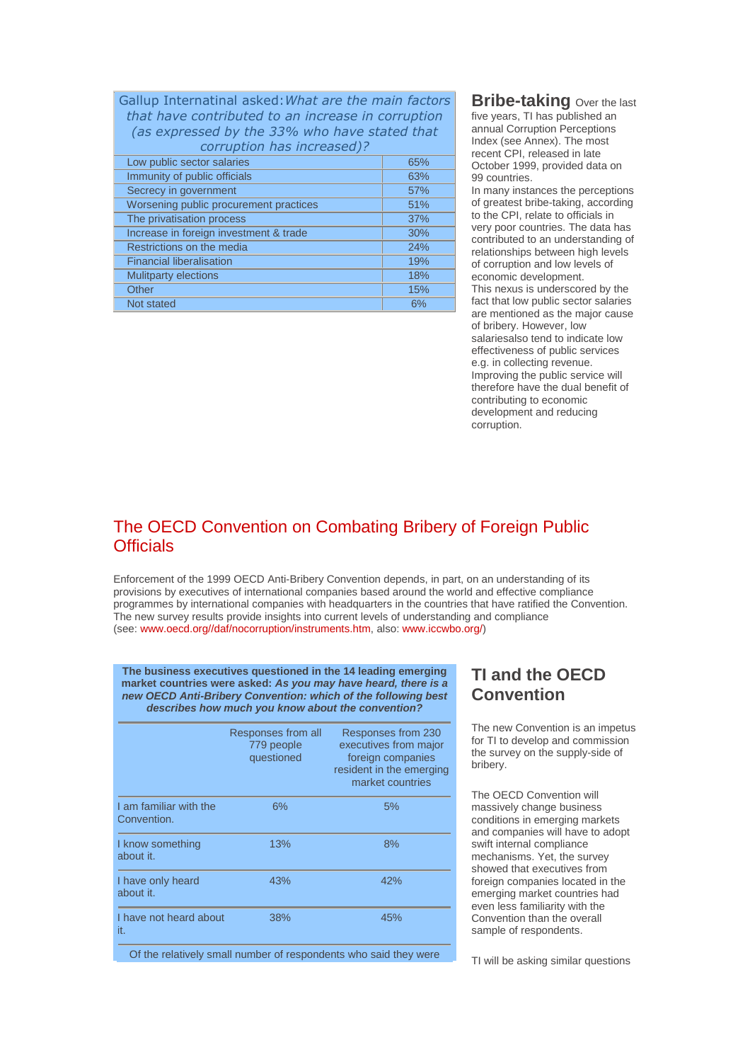| Gallup Internatinal asked: What are the main factors<br>that have contributed to an increase in corruption<br>(as expressed by the 33% who have stated that<br>corruption has increased)? |     |  |  |
|-------------------------------------------------------------------------------------------------------------------------------------------------------------------------------------------|-----|--|--|
| Low public sector salaries                                                                                                                                                                | 65% |  |  |
| Immunity of public officials                                                                                                                                                              | 63% |  |  |
| Secrecy in government                                                                                                                                                                     | 57% |  |  |
| Worsening public procurement practices                                                                                                                                                    | 51% |  |  |
| The privatisation process                                                                                                                                                                 | 37% |  |  |
| Increase in foreign investment & trade                                                                                                                                                    | 30% |  |  |
| Restrictions on the media                                                                                                                                                                 | 24% |  |  |
| <b>Financial liberalisation</b>                                                                                                                                                           | 19% |  |  |
| <b>Mulitparty elections</b>                                                                                                                                                               | 18% |  |  |
| Other                                                                                                                                                                                     | 15% |  |  |
| Not stated                                                                                                                                                                                | 6%  |  |  |

**Bribe-taking** Over the last five years, TI has published an annual Corruption Perceptions Index (see Annex). The most recent CPI, released in late October 1999, provided data on 99 countries. In many instances the perceptions of greatest bribe-taking, according to the CPI, relate to officials in very poor countries. The data has contributed to an understanding of relationships between high levels of corruption and low levels of economic development. This nexus is underscored by the fact that low public sector salaries are mentioned as the major cause of bribery. However, low salariesalso tend to indicate low effectiveness of public services e.g. in collecting revenue. Improving the public service will therefore have the dual benefit of contributing to economic development and reducing corruption.

## The OECD Convention on Combating Bribery of Foreign Public **Officials**

Enforcement of the 1999 OECD Anti-Bribery Convention depends, in part, on an understanding of its provisions by executives of international companies based around the world and effective compliance programmes by international companies with headquarters in the countries that have ratified the Convention. The new survey results provide insights into current levels of understanding and compliance (see: www.oecd.org//daf/nocorruption/instruments.htm, also: www.iccwbo.org/)

**The business executives questioned in the 14 leading emerging market countries were asked: As you may have heard, there is a new OECD Anti-Bribery Convention: which of the following best describes how much you know about the convention?**

|                                       | Responses from all<br>779 people<br>questioned | Responses from 230<br>executives from major<br>foreign companies<br>resident in the emerging<br>market countries |
|---------------------------------------|------------------------------------------------|------------------------------------------------------------------------------------------------------------------|
| I am familiar with the<br>Convention. | 6%                                             | 5%                                                                                                               |
| I know something<br>about it.         | 13%                                            | 8%                                                                                                               |
| I have only heard<br>about it.        | 43%                                            | 42%                                                                                                              |
| I have not heard about<br>it.         | 38%                                            | 45%                                                                                                              |

Of the relatively small number of respondents who said they were

# **TI and the OECD Convention**

The new Convention is an impetus for TI to develop and commission the survey on the supply-side of bribery.

The OECD Convention will massively change business conditions in emerging markets and companies will have to adopt swift internal compliance mechanisms. Yet, the survey showed that executives from foreign companies located in the emerging market countries had even less familiarity with the Convention than the overall sample of respondents.

TI will be asking similar questions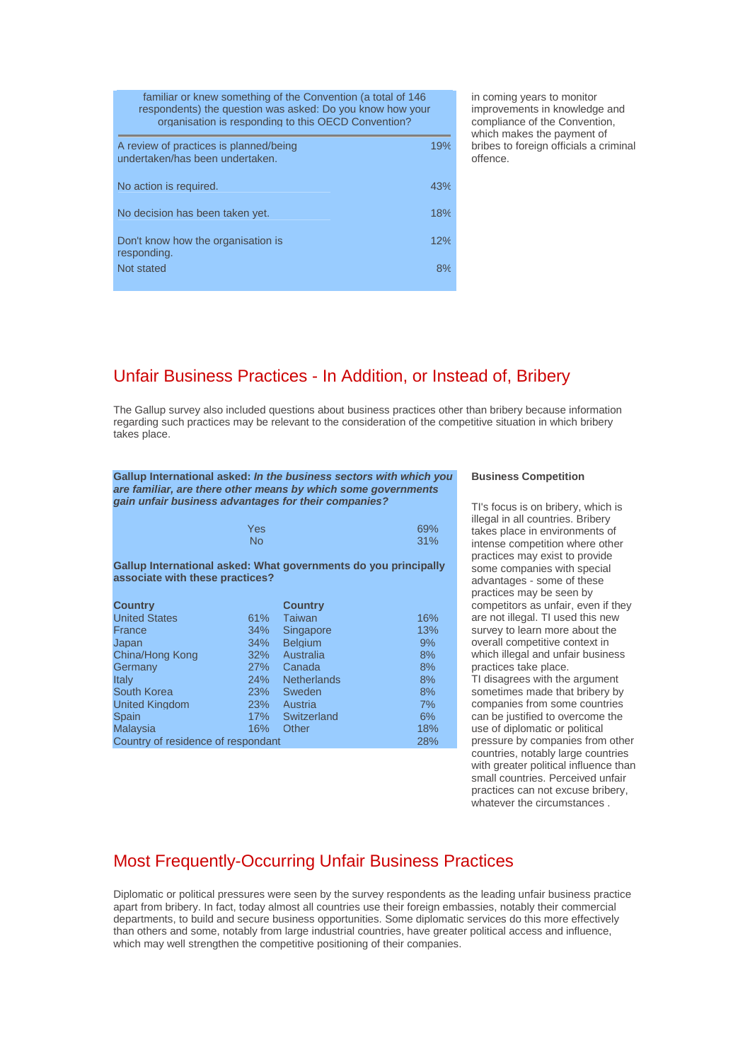| familiar or knew something of the Convention (a total of 146<br>respondents) the question was asked: Do you know how your<br>organisation is responding to this OECD Convention? |     |  |
|----------------------------------------------------------------------------------------------------------------------------------------------------------------------------------|-----|--|
| A review of practices is planned/being<br>undertaken/has been undertaken.                                                                                                        | 19% |  |
| No action is required.                                                                                                                                                           | 43% |  |
| No decision has been taken yet.                                                                                                                                                  | 18% |  |
| Don't know how the organisation is<br>responding.                                                                                                                                | 12% |  |
| Not stated                                                                                                                                                                       | 8%  |  |

in coming years to monitor improvements in knowledge and compliance of the Convention, which makes the payment of bribes to foreign officials a criminal offence.

## Unfair Business Practices - In Addition, or Instead of, Bribery

The Gallup survey also included questions about business practices other than bribery because information regarding such practices may be relevant to the consideration of the competitive situation in which bribery takes place.

**Gallup International asked: In the business sectors with which you are familiar, are there other means by which some governments gain unfair business advantages for their companies?**

|                                                                                                    | Yes<br><b>No</b> |                    | 69%<br>31% |
|----------------------------------------------------------------------------------------------------|------------------|--------------------|------------|
| Gallup International asked: What governments do you principally<br>associate with these practices? |                  |                    |            |
| <b>Country</b>                                                                                     |                  | <b>Country</b>     |            |
| <b>United States</b>                                                                               | $61\%$           | Taiwan             | 16%        |
| France                                                                                             | 34%              | Singapore          | 13%        |
| Japan                                                                                              | 34%              | <b>Belaium</b>     | 9%         |
| China/Hong Kong                                                                                    | 32%              | Australia          | 8%         |
| Germany                                                                                            | 27%              | Canada             | 8%         |
| Italy                                                                                              | 24%              | <b>Netherlands</b> | 8%         |
| South Korea                                                                                        | 23%              | Sweden             | 8%         |
| <b>United Kingdom</b>                                                                              | <b>23%</b>       | Austria            | 7%         |
| Spain                                                                                              | 17%              | Switzerland        | 6%         |
| <b>Malaysia</b>                                                                                    | 16%              | Other              | 18%        |
| Country of residence of respondant                                                                 |                  | 28%                |            |

### **Business Competition**

TI's focus is on bribery, which is illegal in all countries. Bribery takes place in environments of intense competition where other practices may exist to provide some companies with special advantages - some of these practices may be seen by competitors as unfair, even if they are not illegal. TI used this new survey to learn more about the overall competitive context in which illegal and unfair business practices take place. TI disagrees with the argument sometimes made that bribery by companies from some countries can be justified to overcome the use of diplomatic or political pressure by companies from other countries, notably large countries with greater political influence than small countries. Perceived unfair practices can not excuse bribery, whatever the circumstances .

## Most Frequently-Occurring Unfair Business Practices

Diplomatic or political pressures were seen by the survey respondents as the leading unfair business practice apart from bribery. In fact, today almost all countries use their foreign embassies, notably their commercial departments, to build and secure business opportunities. Some diplomatic services do this more effectively than others and some, notably from large industrial countries, have greater political access and influence, which may well strengthen the competitive positioning of their companies.